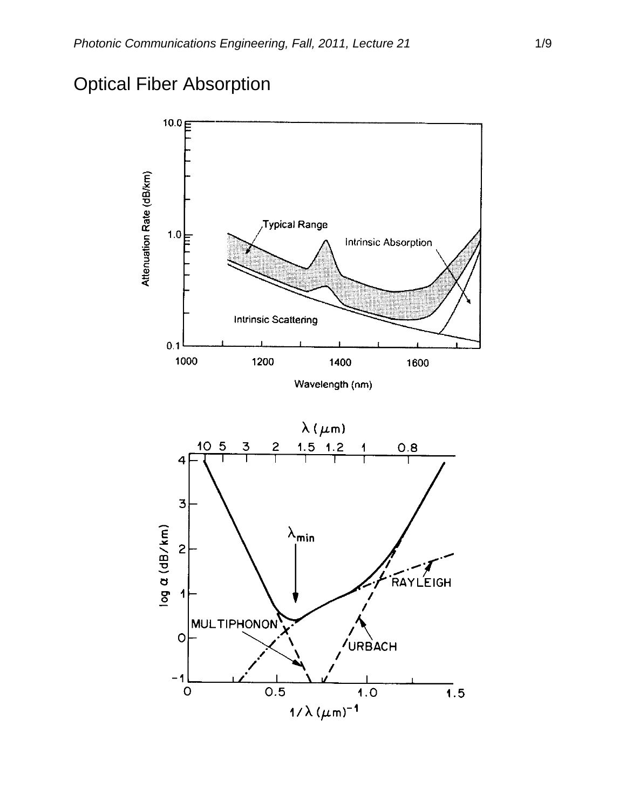# Optical Fiber Absorption



Wavelength (nm)

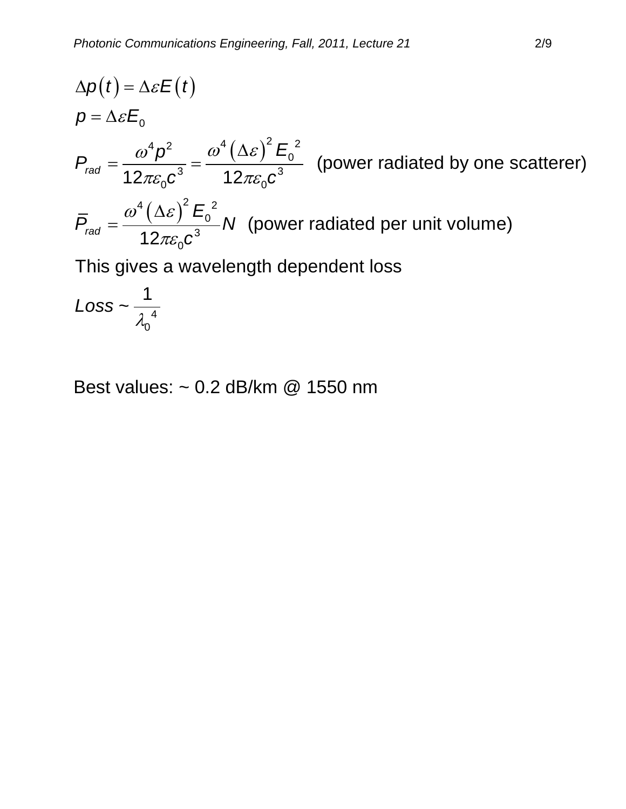$$
\Delta p(t) = \Delta \varepsilon E(t)
$$
\n
$$
p = \Delta \varepsilon E_0
$$
\n
$$
P_{rad} = \frac{\omega^4 p^2}{12\pi \varepsilon_0 c^3} = \frac{\omega^4 (\Delta \varepsilon)^2 E_0^2}{12\pi \varepsilon_0 c^3}
$$
 (power radiated by one scatterer)\n
$$
\overline{P}_{rad} = \frac{\omega^4 (\Delta \varepsilon)^2 E_0^2}{12\pi \varepsilon_0 c^3} N
$$
 (power radiated per unit volume)\nThis gives a wavelength dependent loss\n
$$
\Delta \cos \frac{1}{\varepsilon_0 c^3}
$$

$$
Loss \sim \frac{1}{\lambda_0^4}
$$

Best values: ~ 0.2 dB/km @ 1550 nm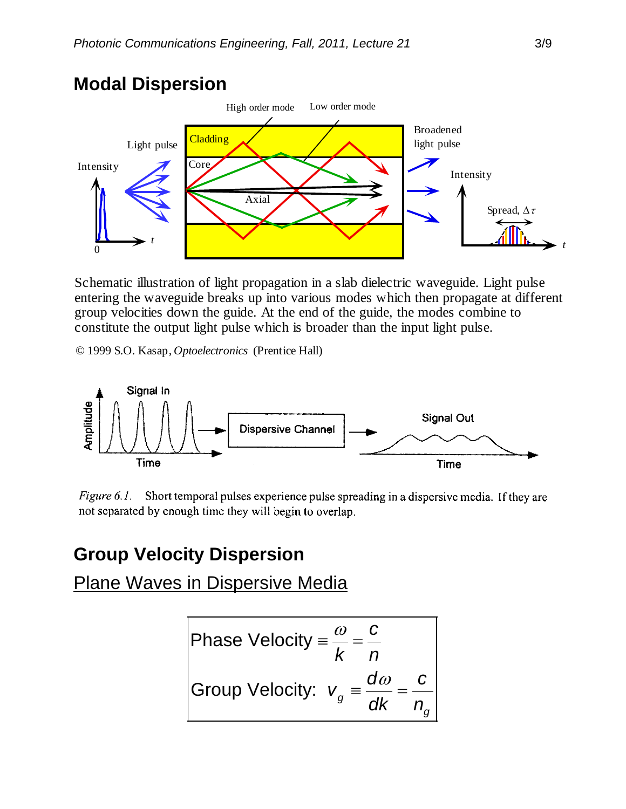#### **Modal Dispersion**



Schematic illustration of light propagation in a slab dielectric waveguide. Light pulse entering the waveguide breaks up into various modes which then propagate at different group velocities down the guide. At the end of the guide, the modes combine to constitute the output light pulse which is broader than the input light pulse.

© 1999 S.O. Kasap, *Optoelectronics* (Prentice Hall)



Figure 6.1. Short temporal pulses experience pulse spreading in a dispersive media. If they are not separated by enough time they will begin to overlap.

#### **Group Velocity Dispersion**

Plane Waves in Dispersive Media

Phase Velocity = 
$$
\frac{\omega}{k} = \frac{c}{n}
$$
  
Group Velocity:  $v_g = \frac{d\omega}{dk} = \frac{c}{n_g}$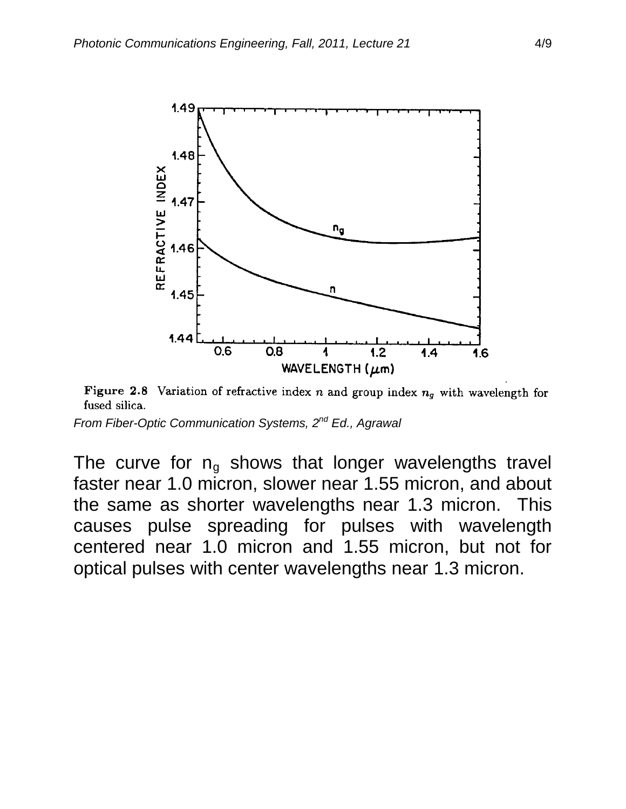

Figure 2.8 Variation of refractive index n and group index  $n_g$  with wavelength for fused silica.

*From Fiber-Optic Communication Systems, 2nd Ed., Agrawal*

The curve for  $n_q$  shows that longer wavelengths travel faster near 1.0 micron, slower near 1.55 micron, and about the same as shorter wavelengths near 1.3 micron. This causes pulse spreading for pulses with wavelength centered near 1.0 micron and 1.55 micron, but not for optical pulses with center wavelengths near 1.3 micron.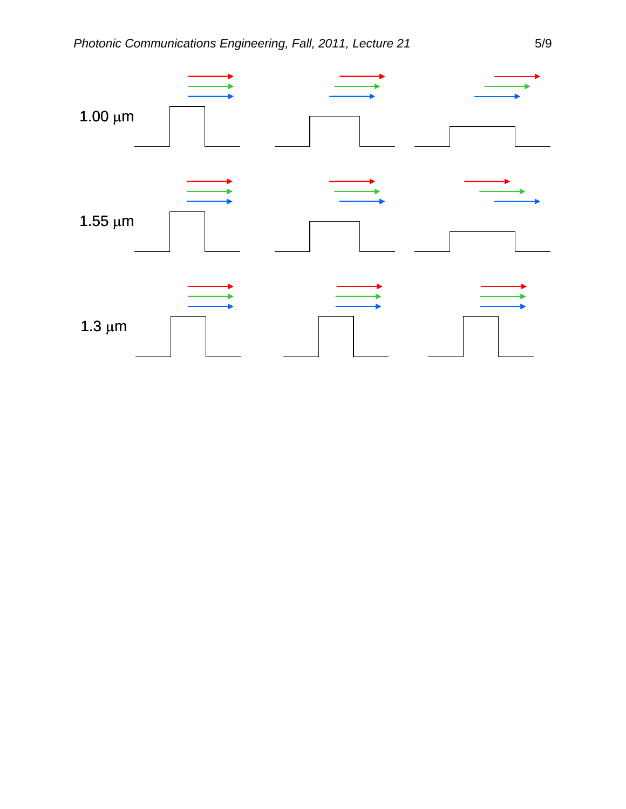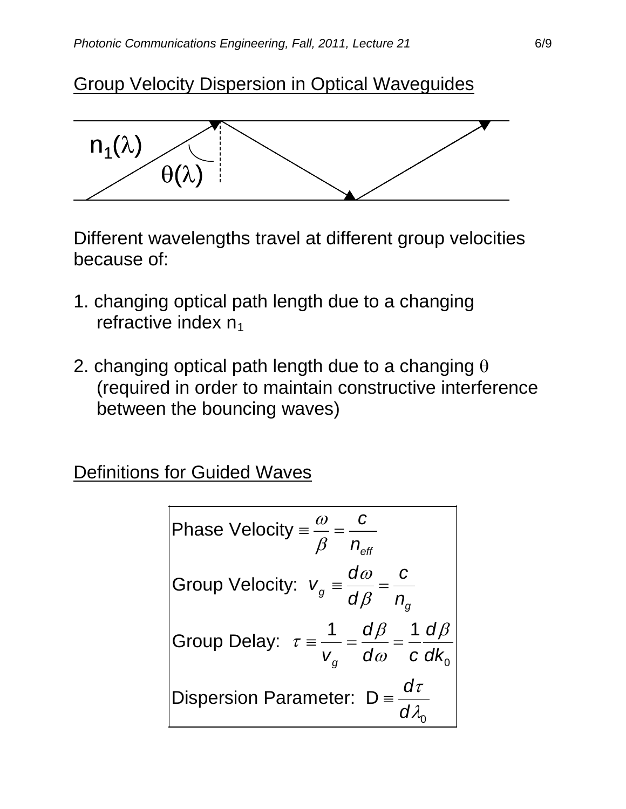## Group Velocity Dispersion in Optical Waveguides



Different wavelengths travel at different group velocities because of:

- 1. changing optical path length due to a changing refractive index  $n_1$
- 2. changing optical path length due to a changing  $\theta$ (required in order to maintain constructive interference between the bouncing waves)

Definitions for Guided Waves

Phase Velocity = 
$$
\frac{\omega}{\beta} = \frac{c}{n_{\text{eff}}}
$$
  
\nGroup Velocity:  $v_g = \frac{d\omega}{d\beta} = \frac{c}{n_g}$   
\nGroup Delay:  $\tau = \frac{1}{v_g} = \frac{d\beta}{d\omega} = \frac{1}{c} \frac{d\beta}{dk_o}$   
\nDisperson Parameter:  $D = \frac{d\tau}{d\lambda_o}$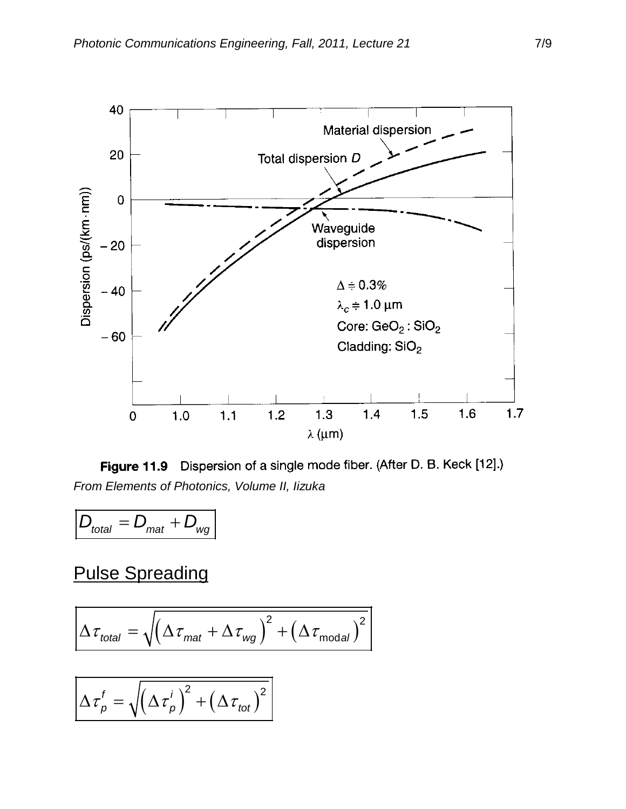

Figure 11.9 Dispersion of a single mode fiber. (After D. B. Keck [12].) *From Elements of Photonics, Volume II, Iizuka*

$$
D_{\text{total}} = D_{\text{mat}} + D_{\text{wg}}
$$

### Pulse Spreading

$$
\Delta \tau_{total} = \sqrt{\left(\Delta \tau_{mat} + \Delta \tau_{wg}\right)^2 + \left(\Delta \tau_{modal}\right)^2}
$$

$$
\Delta \tau_p^f = \sqrt{\left(\Delta \tau_p^i\right)^2 + \left(\Delta \tau_{tot}\right)^2}
$$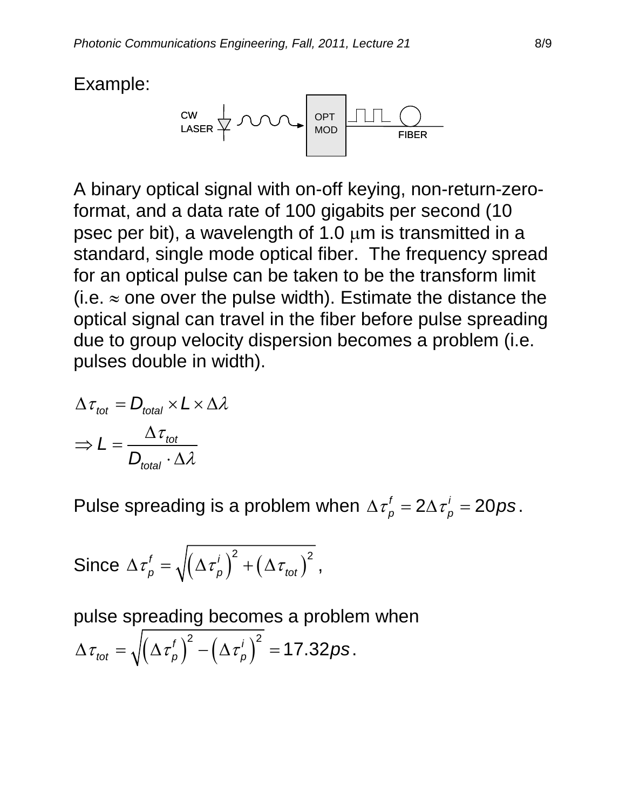Example:



A binary optical signal with on-off keying, non-return-zeroformat, and a data rate of 100 gigabits per second (10 psec per bit), a wavelength of 1.0  $\mu$ m is transmitted in a standard, single mode optical fiber. The frequency spread for an optical pulse can be taken to be the transform limit (i.e.  $\approx$  one over the pulse width). Estimate the distance the optical signal can travel in the fiber before pulse spreading due to group velocity dispersion becomes a problem (i.e. pulses double in width).

$$
\Delta \tau_{tot} = D_{total} \times L \times \Delta \lambda
$$

$$
\Rightarrow L = \frac{\Delta \tau_{tot}}{D_{total} \cdot \Delta \lambda}
$$

Pulse spreading is a problem when  $\Delta \tau_p^f = 2\Delta \tau_p^i = 20ps$ .

Since 
$$
\Delta \tau_p^t = \sqrt{(\Delta \tau_p)^2 + (\Delta \tau_{tot})^2}
$$
,

pulse spreading becomes a problem when  $\Delta \tau_{tot} = \sqrt{\left( \Delta \tau_{p}^f \right)^2 - \left( \Delta \tau_{p}^i \right)^2} = 17.32 ps.$